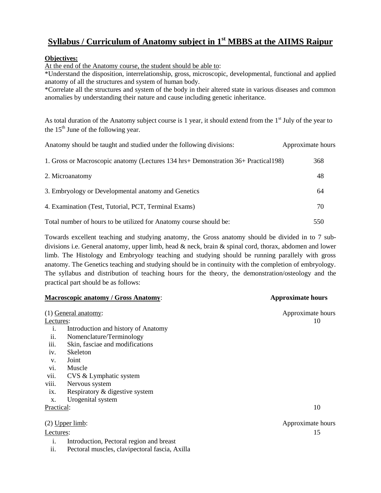## **Syllabus / Curriculum of Anatomy subject in 1st MBBS at the AIIMS Raipur**

### **Objectives:**

At the end of the Anatomy course, the student should be able to:

\*Understand the disposition, interrelationship, gross, microscopic, developmental, functional and applied anatomy of all the structures and system of human body.

\*Correlate all the structures and system of the body in their altered state in various diseases and common anomalies by understanding their nature and cause including genetic inheritance.

As total duration of the Anatomy subject course is 1 year, it should extend from the  $1<sup>st</sup>$  July of the year to the  $15<sup>th</sup>$  June of the following year.

| Anatomy should be taught and studied under the following divisions:                 | Approximate hours |
|-------------------------------------------------------------------------------------|-------------------|
| 1. Gross or Macroscopic anatomy (Lectures 134 hrs+ Demonstration 36+ Practical 198) | 368               |
| 2. Microanatomy                                                                     | 48                |
| 3. Embryology or Developmental anatomy and Genetics                                 | 64                |
| 4. Examination (Test, Tutorial, PCT, Terminal Exams)                                | 70                |
| Total number of hours to be utilized for Anatomy course should be:                  | 550               |

Towards excellent teaching and studying anatomy, the Gross anatomy should be divided in to 7 subdivisions i.e. General anatomy, upper limb, head & neck, brain & spinal cord, thorax, abdomen and lower limb. The Histology and Embryology teaching and studying should be running parallely with gross anatomy. The Genetics teaching and studying should be in continuity with the completion of embryology. The syllabus and distribution of teaching hours for the theory, the demonstration/osteology and the practical part should be as follows:

| <b>Macroscopic anatomy / Gross Anatomy:</b> |                                          | <b>Approximate hours</b> |
|---------------------------------------------|------------------------------------------|--------------------------|
|                                             | (1) General anatomy:                     | Approximate hours        |
| Lectures:                                   |                                          | 10                       |
| i.                                          | Introduction and history of Anatomy      |                          |
| ii.                                         | Nomenclature/Terminology                 |                          |
| iii.                                        | Skin, fasciae and modifications          |                          |
| iv.                                         | Skeleton                                 |                          |
| V.                                          | Joint                                    |                          |
| vi.                                         | Muscle                                   |                          |
| vii.                                        | CVS & Lymphatic system                   |                          |
| viii.                                       | Nervous system                           |                          |
| ix.                                         | Respiratory & digestive system           |                          |
| X.                                          | Urogenital system                        |                          |
| Practical:                                  |                                          | 10                       |
|                                             | $(2)$ Upper limb:                        | Approximate hours        |
| Lectures:                                   |                                          | 15                       |
| 1.                                          | Introduction, Pectoral region and breast |                          |

ii. Pectoral muscles, clavipectoral fascia, Axilla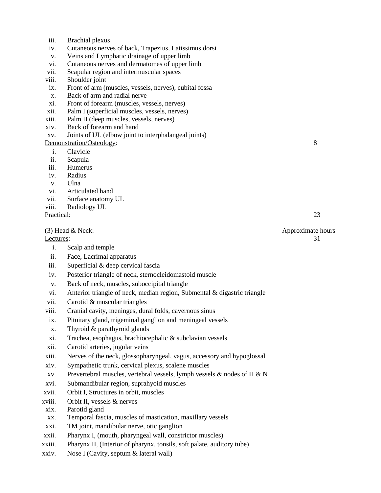- iii. Brachial plexus
- iv. Cutaneous nerves of back, Trapezius, Latissimus dorsi
- v. Veins and Lymphatic drainage of upper limb
- vi. Cutaneous nerves and dermatomes of upper limb
- vii. Scapular region and intermuscular spaces
- viii. Shoulder joint
- ix. Front of arm (muscles, vessels, nerves), cubital fossa
- x. Back of arm and radial nerve
- xi. Front of forearm (muscles, vessels, nerves)
- xii. Palm I (superficial muscles, vessels, nerves)
- xiii. Palm II (deep muscles, vessels, nerves)
- xiv. Back of forearm and hand
- xv. Joints of UL (elbow joint to interphalangeal joints)

#### Demonstration/Osteology: 8

- i. Clavicle
- ii. Scapula
- iii. Humerus
- iv. Radius
- v. Ulna
- vi. Articulated hand
- vii. Surface anatomy UL
- viii. Radiology UL

#### Practical: 23

#### (3) Head & Neck: Approximate hours

- i. Scalp and temple
- ii. Face, Lacrimal apparatus
- iii. Superficial & deep cervical fascia
- iv. Posterior triangle of neck, sternocleidomastoid muscle
- v. Back of neck, muscles, suboccipital triangle
- vi. Anterior triangle of neck, median region, Submental & digastric triangle
- vii. Carotid & muscular triangles
- viii. Cranial cavity, meninges, dural folds, cavernous sinus
- ix. Pituitary gland, trigeminal ganglion and meningeal vessels
- x. Thyroid & parathyroid glands
- xi. Trachea, esophagus, brachiocephalic & subclavian vessels
- xii. Carotid arteries, jugular veins
- xiii. Nerves of the neck, glossopharyngeal, vagus, accessory and hypoglossal
- xiv. Sympathetic trunk, cervical plexus, scalene muscles
- xv. Prevertebral muscles, vertebral vessels, lymph vessels & nodes of H & N
- xvi. Submandibular region, suprahyoid muscles
- xvii. Orbit I, Structures in orbit, muscles
- xviii. Orbit II, vessels & nerves
- xix. Parotid gland
- xx. Temporal fascia, muscles of mastication, maxillary vessels
- xxi. TM joint, mandibular nerve, otic ganglion
- xxii. Pharynx I, (mouth, pharyngeal wall, constrictor muscles)
- xxiii. Pharynx II, (Interior of pharynx, tonsils, soft palate, auditory tube)
- xxiv. Nose I (Cavity, septum & lateral wall)

Lectures: 31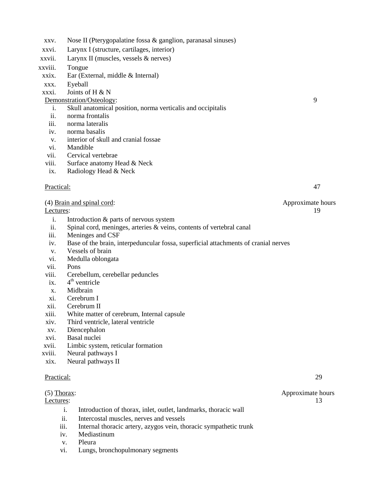- xxv. Nose II (Pterygopalatine fossa & ganglion, paranasal sinuses)
- xxvi. Larynx I (structure, cartilages, interior)
- xxvii. Larynx II (muscles, vessels & nerves)
- xxviii. Tongue
- xxix. Ear (External, middle & Internal)
- xxx. Eyeball
- xxxi. Joints of H & N

### Demonstration/Osteology: 9

- i. Skull anatomical position, norma verticalis and occipitalis
- ii. norma frontalis
- iii. norma lateralis
- iv. norma basalis
- v. interior of skull and cranial fossae
- vi. Mandible
- vii. Cervical vertebrae
- viii. Surface anatomy Head & Neck
- ix. Radiology Head & Neck

### Practical: 47

### (4) Brain and spinal cord: Approximate hours

- i. Introduction & parts of nervous system
- ii. Spinal cord, meninges, arteries & veins, contents of vertebral canal
- iii. Meninges and CSF
- iv. Base of the brain, interpeduncular fossa, superficial attachments of cranial nerves
- v. Vessels of brain
- vi. Medulla oblongata
- vii. Pons
- viii. Cerebellum, cerebellar peduncles
- $ix.$  $4<sup>th</sup>$  ventricle
- x. Midbrain
- xi. Cerebrum I
- xii. Cerebrum II
- xiii. White matter of cerebrum, Internal capsule
- xiv. Third ventricle, lateral ventricle
- xv. Diencephalon
- xvi. Basal nuclei
- xvii. Limbic system, reticular formation
- xviii. Neural pathways I
- xix. Neural pathways II

#### Practical: 29

- i. Introduction of thorax, inlet, outlet, landmarks, thoracic wall
- ii. Intercostal muscles, nerves and vessels
- iii. Internal thoracic artery, azygos vein, thoracic sympathetic trunk
- iv. Mediastinum
- v. Pleura
- vi. Lungs, bronchopulmonary segments

Lectures: 19

(5) Thorax: Approximate hours Lectures: 13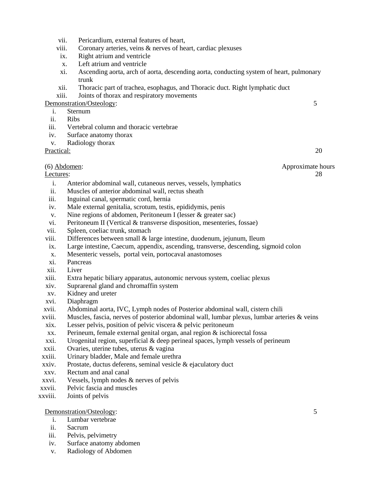- vii. Pericardium, external features of heart,
- viii. Coronary arteries, veins & nerves of heart, cardiac plexuses
- ix. Right atrium and ventricle
- x. Left atrium and ventricle
- xi. Ascending aorta, arch of aorta, descending aorta, conducting system of heart, pulmonary trunk
- xii. Thoracic part of trachea, esophagus, and Thoracic duct. Right lymphatic duct
- xiii. Joints of thorax and respiratory movements

### Demonstration/Osteology: 5

- i. Sternum
- ii. Ribs
- iii. Vertebral column and thoracic vertebrae
- iv. Surface anatomy thorax
- v. Radiology thorax

Practical: 20

(6) Abdomen: Approximate hours

#### <u>Lectures</u>: 28

- i. Anterior abdominal wall, cutaneous nerves, vessels, lymphatics
- ii. Muscles of anterior abdominal wall, rectus sheath
- iii. Inguinal canal, spermatic cord, hernia
- iv. Male external genitalia, scrotum, testis, epididymis, penis
- v. Nine regions of abdomen, Peritoneum I (lesser & greater sac)
- vi. Peritoneum II (Vertical & transverse disposition, mesenteries, fossae)
- vii. Spleen, coeliac trunk, stomach
- viii. Differences between small & large intestine, duodenum, jejunum, Ileum
- ix. Large intestine, Caecum, appendix, ascending, transverse, descending, sigmoid colon
- x. Mesenteric vessels, portal vein, portocaval anastomoses
- xi. Pancreas
- xii. Liver
- xiii. Extra hepatic biliary apparatus, autonomic nervous system, coeliac plexus
- xiv. Suprarenal gland and chromaffin system
- xv. Kidney and ureter
- xvi. Diaphragm
- xvii. Abdominal aorta, IVC, Lymph nodes of Posterior abdominal wall, cistern chili
- xviii. Muscles, fascia, nerves of posterior abdominal wall, lumbar plexus, lumbar arteries & veins
- xix. Lesser pelvis, position of pelvic viscera & pelvic peritoneum
- xx. Perineum, female external genital organ, anal region & ischiorectal fossa
- xxi. Urogenital region, superficial & deep perineal spaces, lymph vessels of perineum
- xxii. Ovaries, uterine tubes, uterus & vagina
- xxiii. Urinary bladder, Male and female urethra
- xxiv. Prostate, ductus deferens, seminal vesicle & ejaculatory duct
- xxv. Rectum and anal canal
- xxvi. Vessels, lymph nodes & nerves of pelvis
- xxvii. Pelvic fascia and muscles
- xxviii. Joints of pelvis

### Demonstration/Osteology: 5

- i. Lumbar vertebrae
- ii. Sacrum
- iii. Pelvis, pelvimetry
- iv. Surface anatomy abdomen
- v. Radiology of Abdomen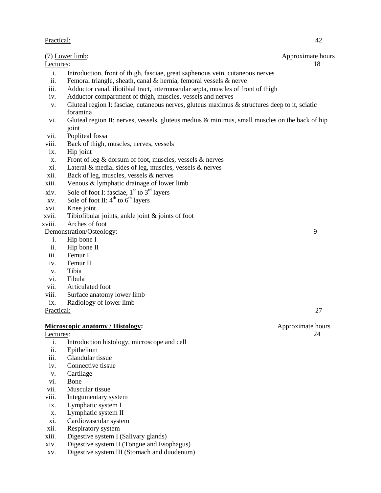### Practical: 42

### (7) Lower limb: Approximate hours

Lectures: 18

- i. Introduction, front of thigh, fasciae, great saphenous vein, cutaneous nerves
- ii. Femoral triangle, sheath, canal & hernia, femoral vessels & nerve
- iii. Adductor canal, iliotibial tract, intermuscular septa, muscles of front of thigh
- iv. Adductor compartment of thigh, muscles, vessels and nerves
- v. Gluteal region I: fasciae, cutaneous nerves, gluteus maximus & structures deep to it, sciatic foramina
- vi. Gluteal region II: nerves, vessels, gluteus medius & minimus, small muscles on the back of hip joint
- vii. Popliteal fossa
- viii. Back of thigh, muscles, nerves, vessels
- ix. Hip joint
- x. Front of leg & dorsum of foot, muscles, vessels & nerves
- xi. Lateral & medial sides of leg, muscles, vessels & nerves
- xii. Back of leg, muscles, vessels & nerves
- xiii. Venous & lymphatic drainage of lower limb
- xiv. Sole of foot I: fasciae,  $1<sup>st</sup>$  to  $3<sup>rd</sup>$  layers
- xv. Sole of foot II:  $4^{th}$  to  $6^{th}$  layers
- xvi. Knee joint
- xvii. Tibiofibular joints, ankle joint & joints of foot
- xviii. Arches of foot

### Demonstration/Osteology: 9

- i. Hip bone I
- ii. Hip bone II
- iii. Femur I
- iv. Femur II
- v. Tibia
- vi. Fibula
- vii. Articulated foot
- viii. Surface anatomy lower limb
- ix. Radiology of lower limb

Practical: 27

#### **Microscopic anatomy / Histology:**  $\qquad \qquad$  **Approximate hours**

- i. Introduction histology, microscope and cell
- ii. Epithelium
- iii. Glandular tissue
- iv. Connective tissue
- v. Cartilage
- vi. Bone
- vii. Muscular tissue
- viii. Integumentary system
- ix. Lymphatic system I
- x. Lymphatic system II
- xi. Cardiovascular system
- xii. Respiratory system
- xiii. Digestive system I (Salivary glands)
- xiv. Digestive system II (Tongue and Esophagus)
- xv. Digestive system III (Stomach and duodenum)

# Lectures: 24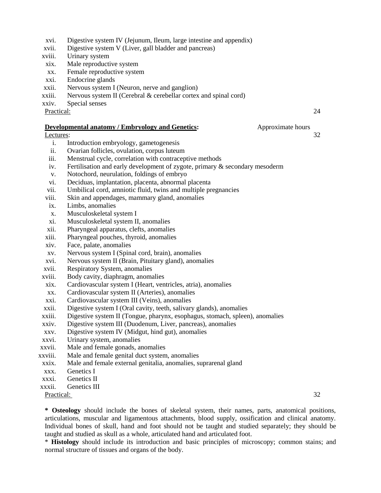- xvi. Digestive system IV (Jejunum, Ileum, large intestine and appendix)
- xvii. Digestive system V (Liver, gall bladder and pancreas)
- xviii. Urinary system
- xix. Male reproductive system
- xx. Female reproductive system
- xxi. Endocrine glands
- xxii. Nervous system I (Neuron, nerve and ganglion)
- xxiii. Nervous system II (Cerebral & cerebellar cortex and spinal cord)
- xxiv. Special senses

Practical: 24

#### **Developmental anatomy / Embryology and Genetics:** Approximate hours

#### Lectures: 32

- i. Introduction embryology, gametogenesis
- ii. Ovarian follicles, ovulation, corpus luteum
- iii. Menstrual cycle, correlation with contraceptive methods
- iv. Fertilisation and early development of zygote, primary & secondary mesoderm
- v. Notochord, neurulation, foldings of embryo
- vi. Deciduas, implantation, placenta, abnormal placenta
- vii. Umbilical cord, amniotic fluid, twins and multiple pregnancies
- viii. Skin and appendages, mammary gland, anomalies
- ix. Limbs, anomalies
- x. Musculoskeletal system I
- xi. Musculoskeletal system II, anomalies
- xii. Pharyngeal apparatus, clefts, anomalies
- xiii. Pharyngeal pouches, thyroid, anomalies
- xiv. Face, palate, anomalies
- xv. Nervous system I (Spinal cord, brain), anomalies
- xvi. Nervous system II (Brain, Pituitary gland), anomalies
- xvii. Respiratory System, anomalies
- xviii. Body cavity, diaphragm, anomalies
- xix. Cardiovascular system I (Heart, ventricles, atria), anomalies
- xx. Cardiovascular system II (Arteries), anomalies
- xxi. Cardiovascular system III (Veins), anomalies
- xxii. Digestive system I (Oral cavity, teeth, salivary glands), anomalies
- xxiii. Digestive system II (Tongue, pharynx, esophagus, stomach, spleen), anomalies
- xxiv. Digestive system III (Duodenum, Liver, pancreas), anomalies
- xxv. Digestive system IV (Midgut, hind gut), anomalies
- xxvi. Urinary system, anomalies
- xxvii. Male and female gonads, anomalies
- xxviii. Male and female genital duct system, anomalies
- xxix. Male and female external genitalia, anomalies, suprarenal gland
- xxx. Genetics I
- xxxi. Genetics II
- xxxii. Genetics III
- Practical: 32

**\* Osteology** should include the bones of skeletal system, their names, parts, anatomical positions, articulations, muscular and ligamentous attachments, blood supply, ossification and clinical anatomy. Individual bones of skull, hand and foot should not be taught and studied separately; they should be taught and studied as skull as a whole, articulated hand and articulated foot.

\* **Histology** should include its introduction and basic principles of microscopy; common stains; and normal structure of tissues and organs of the body.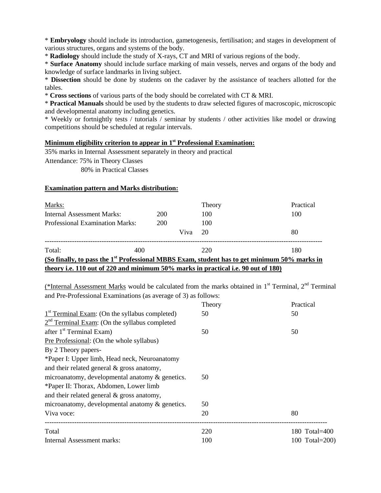\* **Embryology** should include its introduction, gametogenesis, fertilisation; and stages in development of various structures, organs and systems of the body.

\* **Radiology** should include the study of X-rays, CT and MRI of various regions of the body.

\* **Surface Anatomy** should include surface marking of main vessels, nerves and organs of the body and knowledge of surface landmarks in living subject.

\* **Dissection** should be done by students on the cadaver by the assistance of teachers allotted for the tables.

\* **Cross sections** of various parts of the body should be correlated with CT & MRI.

\* **Practical Manuals** should be used by the students to draw selected figures of macroscopic, microscopic and developmental anatomy including genetics.

\* Weekly or fortnightly tests / tutorials / seminar by students / other activities like model or drawing competitions should be scheduled at regular intervals.

### **Minimum eligibility criterion to appear in 1st Professional Examination:**

35% marks in Internal Assessment separately in theory and practical

Attendance: 75% in Theory Classes

80% in Practical Classes

#### **Examination pattern and Marks distribution:**

| Marks:                                                                                                   |     |      | Theory | Practical |  |  |
|----------------------------------------------------------------------------------------------------------|-----|------|--------|-----------|--|--|
| Internal Assessment Marks:                                                                               | 200 |      | 100    | 100       |  |  |
| Professional Examination Marks:                                                                          | 200 |      | 100    |           |  |  |
|                                                                                                          |     | Viva | 20     | 80        |  |  |
| Total:<br>400                                                                                            |     |      | 220    | 180       |  |  |
| (So finally, to pass the 1 <sup>st</sup> Professional MBBS Exam, student has to get minimum 50% marks in |     |      |        |           |  |  |
| theory i.e. 110 out of 220 and minimum 50% marks in practical i.e. 90 out of 180)                        |     |      |        |           |  |  |

(\*Internal Assessment Marks would be calculated from the marks obtained in  $1<sup>st</sup>$  Terminal,  $2<sup>nd</sup>$  Terminal and Pre-Professional Examinations (as average of 3) as follows:

|                                                            | Theory | Practical      |
|------------------------------------------------------------|--------|----------------|
| 1 <sup>st</sup> Terminal Exam: (On the syllabus completed) | 50     | 50             |
| $2nd$ Terminal Exam: (On the syllabus completed            |        |                |
| after 1 <sup>st</sup> Terminal Exam)                       | 50     | 50             |
| Pre Professional: (On the whole syllabus)                  |        |                |
| By 2 Theory papers-                                        |        |                |
| *Paper I: Upper limb, Head neck, Neuroanatomy              |        |                |
| and their related general $\&$ gross anatomy,              |        |                |
| microanatomy, developmental anatomy $\&$ genetics.         | 50     |                |
| *Paper II: Thorax, Abdomen, Lower limb                     |        |                |
| and their related general $\&$ gross anatomy,              |        |                |
| microanatomy, developmental anatomy & genetics.            | 50     |                |
| Viva voce:                                                 | 20     | 80             |
| Total                                                      | 220    | 180 Total=400  |
| Internal Assessment marks:                                 | 100    | 100 Total=200) |